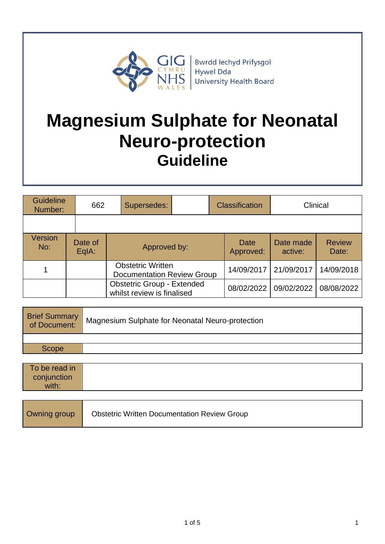

**Bwrdd lechyd Prifysgol** Hywel Dda **University Health Board** 

# **Magnesium Sulphate for Neonatal Neuro-protection Guideline**

| <b>Guideline</b><br>Number: |  | 662              | Supersedes:                                                     |  |            | <b>Classification</b> |                      | Clinical               |
|-----------------------------|--|------------------|-----------------------------------------------------------------|--|------------|-----------------------|----------------------|------------------------|
|                             |  |                  |                                                                 |  |            |                       |                      |                        |
| Version<br>No:              |  | Date of<br>EqIA: | Approved by:                                                    |  |            | Date<br>Approved:     | Date made<br>active: | <b>Review</b><br>Date: |
|                             |  |                  | <b>Obstetric Written</b><br><b>Documentation Review Group</b>   |  | 14/09/2017 | 21/09/2017            | 14/09/2018           |                        |
|                             |  |                  | <b>Obstetric Group - Extended</b><br>whilst review is finalised |  |            | 08/02/2022            | 09/02/2022           | 08/08/2022             |

| <b>Brief Summary</b><br>of Document: | Magnesium Sulphate for Neonatal Neuro-protection |
|--------------------------------------|--------------------------------------------------|
|                                      |                                                  |
| Scope                                |                                                  |

| To be read in |  |
|---------------|--|
| conjunction   |  |
| with:         |  |

| Owning group | <b>Obstetric Written Documentation Review Group</b> |
|--------------|-----------------------------------------------------|
|--------------|-----------------------------------------------------|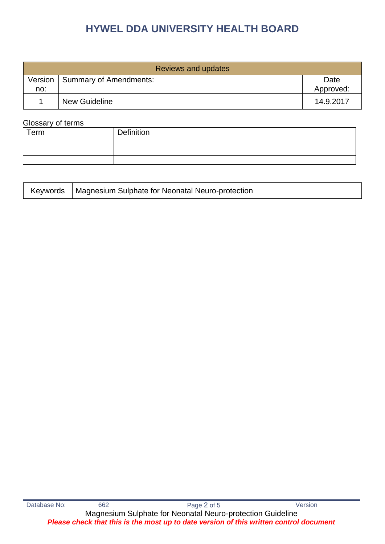# **HYWEL DDA UNIVERSITY HEALTH BOARD**

| <b>Reviews and updates</b> |                                  |                   |  |  |
|----------------------------|----------------------------------|-------------------|--|--|
| no:                        | Version   Summary of Amendments: | Date<br>Approved: |  |  |
|                            | <b>New Guideline</b>             | 14.9.2017         |  |  |

#### Glossary of terms

| Term | Definition |
|------|------------|
|      |            |
|      |            |
|      |            |

|  | Keywords   Magnesium Sulphate for Neonatal Neuro-protection |
|--|-------------------------------------------------------------|
|--|-------------------------------------------------------------|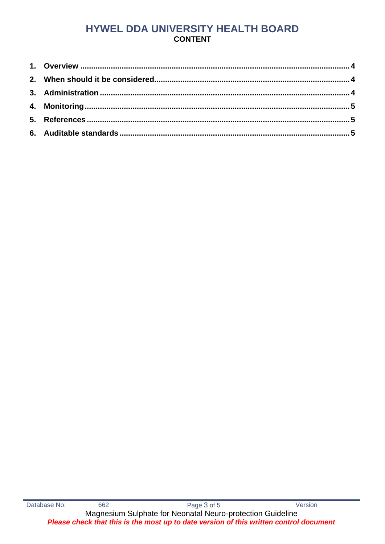# HYWEL DDA UNIVERSITY HEALTH BOARD **CONTENT**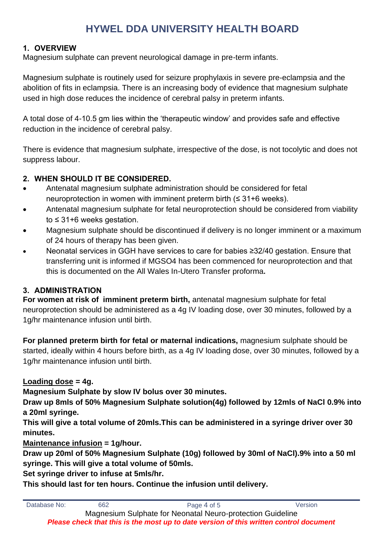# **HYWEL DDA UNIVERSITY HEALTH BOARD**

# <span id="page-3-0"></span>**1. OVERVIEW**

Magnesium sulphate can prevent neurological damage in pre-term infants.

Magnesium sulphate is routinely used for seizure prophylaxis in severe pre-eclampsia and the abolition of fits in eclampsia. There is an increasing body of evidence that magnesium sulphate used in high dose reduces the incidence of cerebral palsy in preterm infants.

A total dose of 4-10.5 gm lies within the 'therapeutic window' and provides safe and effective reduction in the incidence of cerebral palsy.

There is evidence that magnesium sulphate, irrespective of the dose, is not tocolytic and does not suppress labour.

# <span id="page-3-1"></span>**2. WHEN SHOULD IT BE CONSIDERED.**

- Antenatal magnesium sulphate administration should be considered for fetal neuroprotection in women with imminent preterm birth  $($  ≤ 31+6 weeks).
- Antenatal magnesium sulphate for fetal neuroprotection should be considered from viability to ≤ 31+6 weeks gestation.
- Magnesium sulphate should be discontinued if delivery is no longer imminent or a maximum of 24 hours of therapy has been given.
- Neonatal services in GGH have services to care for babies ≥32/40 gestation. Ensure that transferring unit is informed if MGSO4 has been commenced for neuroprotection and that this is documented on the All Wales In-Utero Transfer proforma**.**

# <span id="page-3-2"></span>**3. ADMINISTRATION**

**For women at risk of imminent preterm birth,** antenatal magnesium sulphate for fetal neuroprotection should be administered as a 4g IV loading dose, over 30 minutes, followed by a 1g/hr maintenance infusion until birth.

**For planned preterm birth for fetal or maternal indications,** magnesium sulphate should be started, ideally within 4 hours before birth, as a 4g IV loading dose, over 30 minutes, followed by a 1g/hr maintenance infusion until birth.

# **Loading dose = 4g.**

**Magnesium Sulphate by slow IV bolus over 30 minutes.** 

**Draw up 8mls of 50% Magnesium Sulphate solution(4g) followed by 12mls of NaCl 0.9% into a 20ml syringe.** 

**This will give a total volume of 20mls.This can be administered in a syringe driver over 30 minutes.**

**Maintenance infusion = 1g/hour.** 

**Draw up 20ml of 50% Magnesium Sulphate (10g) followed by 30ml of NaCl).9% into a 50 ml syringe. This will give a total volume of 50mls.**

**Set syringe driver to infuse at 5mls/hr.**

**This should last for ten hours. Continue the infusion until delivery.**

| Database No:                                                                           | 662 | Page 4 of 5 | Version |  |  |
|----------------------------------------------------------------------------------------|-----|-------------|---------|--|--|
| Magnesium Sulphate for Neonatal Neuro-protection Guideline                             |     |             |         |  |  |
| Please check that this is the most up to date version of this written control document |     |             |         |  |  |